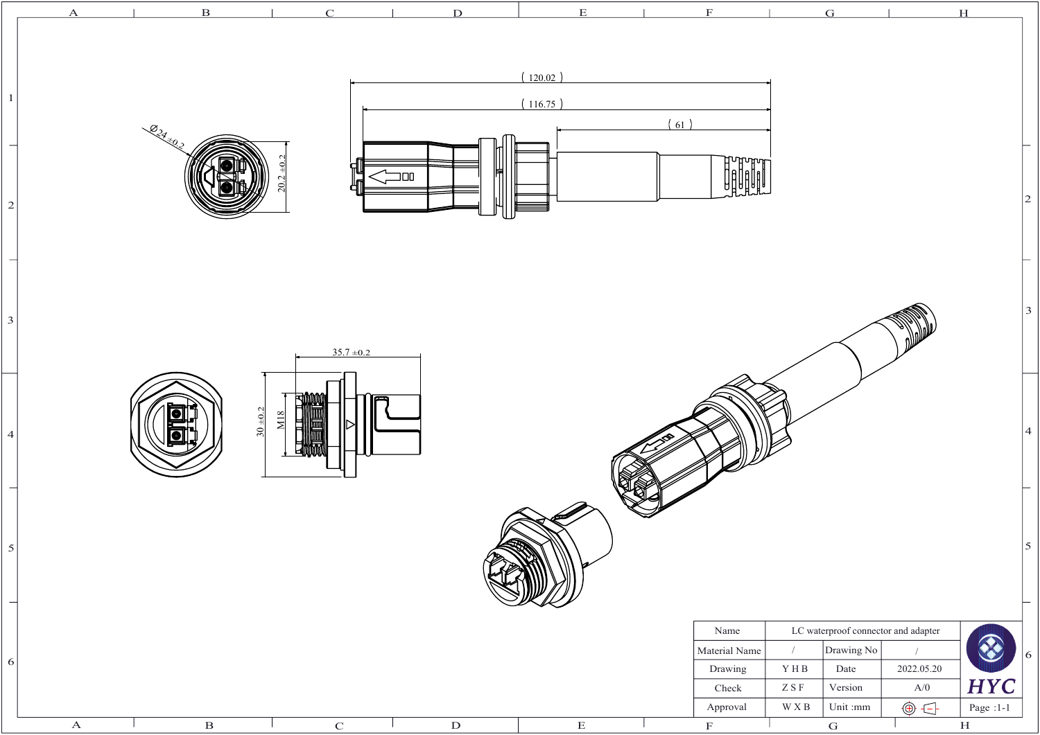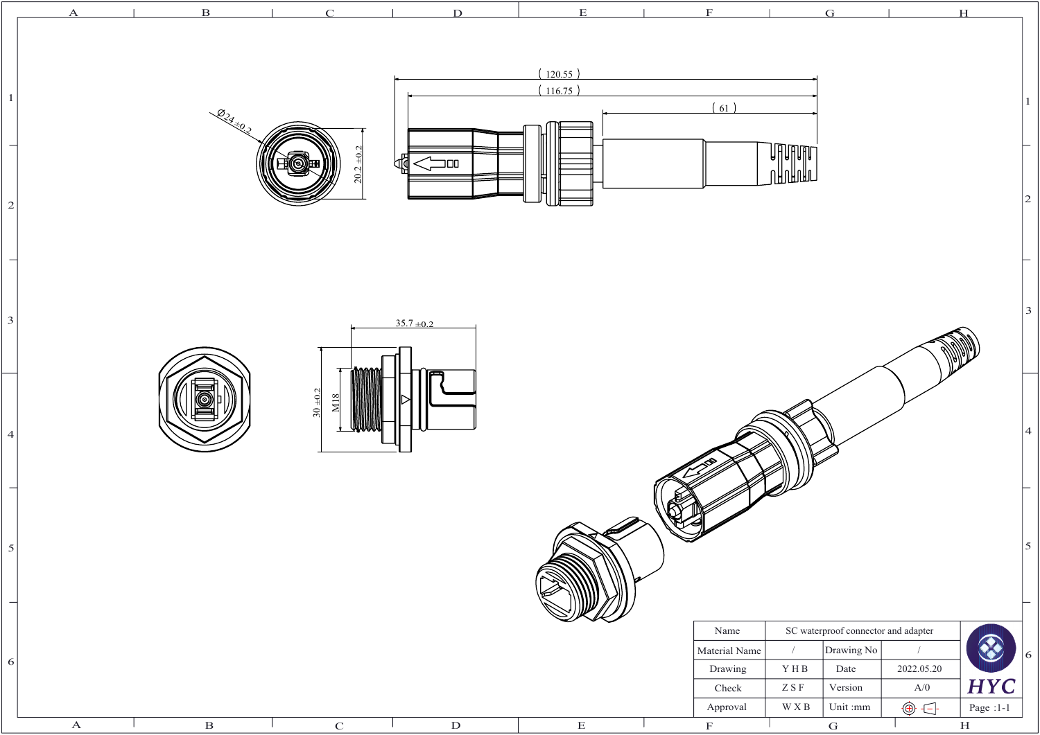|                                            |             | $\overline{\mathbf{B}}$ | $\subset$                 | $\mathbf{D}$     | E                                  |                                                                      |                                                                                            | G                                                                                                            |                                                  | H                                       |                |
|--------------------------------------------|-------------|-------------------------|---------------------------|------------------|------------------------------------|----------------------------------------------------------------------|--------------------------------------------------------------------------------------------|--------------------------------------------------------------------------------------------------------------|--------------------------------------------------|-----------------------------------------|----------------|
| $\mathbf{1}$<br>$\vert$ 2                  |             | 024 x 0.2               | $\overline{+0}$ .<br>20.2 | ₩<br>$\equiv$ 00 | (120.55)<br>(116.75)<br>$\equiv$ 1 | (61)                                                                 | <b><i>Uffuring</i></b><br>UAUANAT                                                          |                                                                                                              |                                                  |                                         |                |
| $\mathbf{3}$                               |             |                         |                           | $35.7 \pm 0.2$   |                                    |                                                                      |                                                                                            |                                                                                                              |                                                  |                                         |                |
| $\overline{4}$<br>$\overline{\phantom{0}}$ |             |                         | $30 + 0.2$<br>M18         |                  |                                    |                                                                      |                                                                                            |                                                                                                              |                                                  |                                         |                |
| $\vert$<br>$\overline{\phantom{0}}$        |             |                         |                           |                  |                                    |                                                                      |                                                                                            |                                                                                                              |                                                  |                                         |                |
| $6\vert$                                   | $\mathbf A$ | $\, {\bf B}$            | ${\bf C}$                 | ${\bf D}$        | $\overline{\mathrm{E}}$            | Name<br>Material Name<br>Drawing<br>Check<br>Approval<br>$\mathbf F$ | $\sqrt{ }$<br>$\mathbf{Y} \, \mathbf{H} \, \mathbf{B}$<br>$Z$ S $\rm F$<br>$\mathbf W$ X B | SC waterproof connector and adapter<br>Drawing No<br>Date<br>Version<br>Unit $:\!\!\mathsf{mm}$<br>${\bf G}$ | $\sqrt{ }$<br>2022.05.20<br>A/0<br>$\circledast$ | <b>HYC</b><br>Page :1-1<br>$\, {\rm H}$ | $\overline{6}$ |